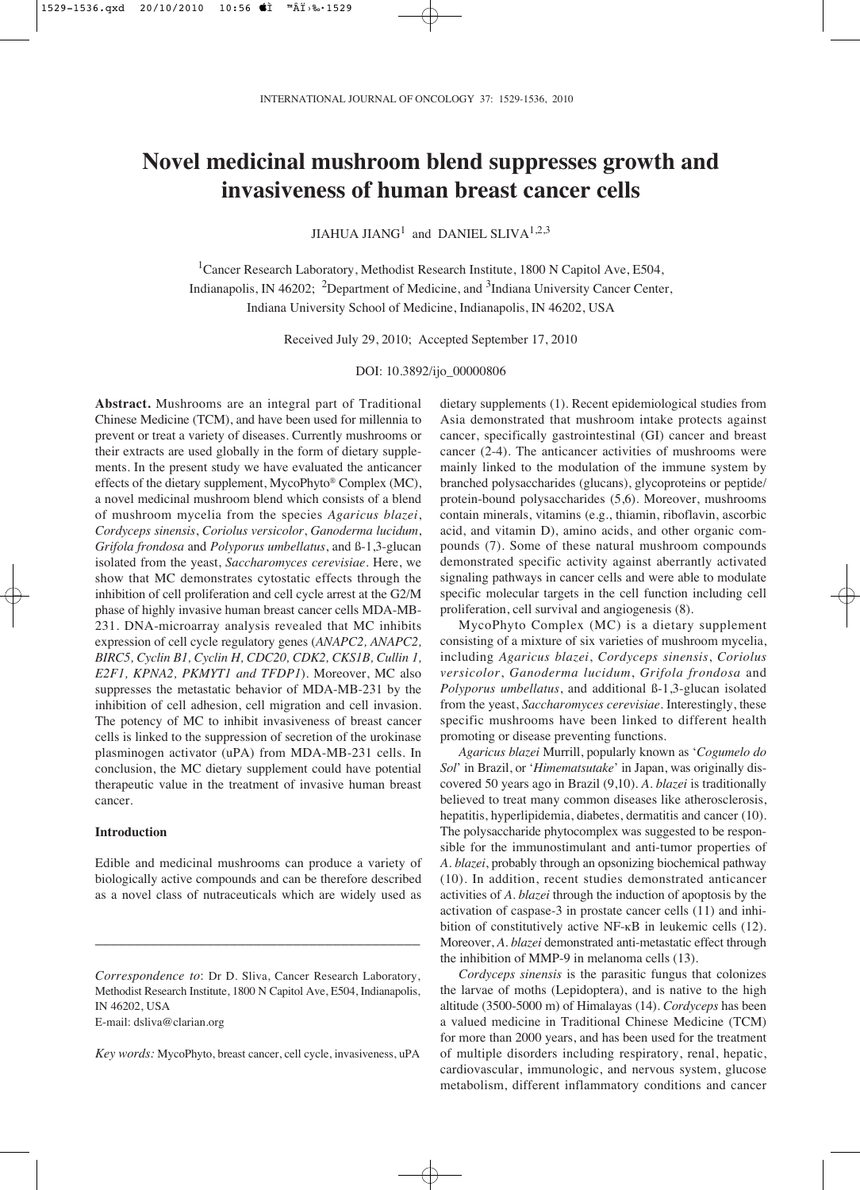# **Novel medicinal mushroom blend suppresses growth and invasiveness of human breast cancer cells**

JIAHUA JIAN $G^1$  and DANIEL SLIVA<sup>1,2,3</sup>

<sup>1</sup>Cancer Research Laboratory, Methodist Research Institute, 1800 N Capitol Ave, E504, Indianapolis, IN 46202; <sup>2</sup>Department of Medicine, and <sup>3</sup>Indiana University Cancer Center, Indiana University School of Medicine, Indianapolis, IN 46202, USA

Received July 29, 2010; Accepted September 17, 2010

DOI: 10.3892/ijo\_00000806

**Abstract.** Mushrooms are an integral part of Traditional Chinese Medicine (TCM), and have been used for millennia to prevent or treat a variety of diseases. Currently mushrooms or their extracts are used globally in the form of dietary supplements. In the present study we have evaluated the anticancer effects of the dietary supplement, MycoPhyto® Complex (MC), a novel medicinal mushroom blend which consists of a blend of mushroom mycelia from the species *Agaricus blazei*, *Cordyceps sinensis*, *Coriolus versicolor*, *Ganoderma lucidum*, *Grifola frondosa* and *Polyporus umbellatus*, and ß-1,3-glucan isolated from the yeast, *Saccharomyces cerevisiae*. Here, we show that MC demonstrates cytostatic effects through the inhibition of cell proliferation and cell cycle arrest at the G2/M phase of highly invasive human breast cancer cells MDA-MB-231. DNA-microarray analysis revealed that MC inhibits expression of cell cycle regulatory genes (*ANAPC2, ANAPC2, BIRC5, Cyclin B1, Cyclin H, CDC20, CDK2, CKS1B, Cullin 1, E2F1, KPNA2, PKMYT1 and TFDP1*). Moreover, MC also suppresses the metastatic behavior of MDA-MB-231 by the inhibition of cell adhesion, cell migration and cell invasion. The potency of MC to inhibit invasiveness of breast cancer cells is linked to the suppression of secretion of the urokinase plasminogen activator (uPA) from MDA-MB-231 cells. In conclusion, the MC dietary supplement could have potential therapeutic value in the treatment of invasive human breast cancer.

## **Introduction**

Edible and medicinal mushrooms can produce a variety of biologically active compounds and can be therefore described as a novel class of nutraceuticals which are widely used as

\_\_\_\_\_\_\_\_\_\_\_\_\_\_\_\_\_\_\_\_\_\_\_\_\_\_\_\_\_\_\_\_\_\_\_\_\_\_\_\_\_

E-mail: dsliva@clarian.org

*Key words:* MycoPhyto, breast cancer, cell cycle, invasiveness, uPA

dietary supplements (1). Recent epidemiological studies from Asia demonstrated that mushroom intake protects against cancer, specifically gastrointestinal (GI) cancer and breast cancer (2-4). The anticancer activities of mushrooms were mainly linked to the modulation of the immune system by branched polysaccharides (glucans), glycoproteins or peptide/ protein-bound polysaccharides (5,6). Moreover, mushrooms contain minerals, vitamins (e.g., thiamin, riboflavin, ascorbic acid, and vitamin D), amino acids, and other organic compounds (7). Some of these natural mushroom compounds demonstrated specific activity against aberrantly activated signaling pathways in cancer cells and were able to modulate specific molecular targets in the cell function including cell proliferation, cell survival and angiogenesis (8).

MycoPhyto Complex (MC) is a dietary supplement consisting of a mixture of six varieties of mushroom mycelia, including *Agaricus blazei*, *Cordyceps sinensis*, *Coriolus versicolor*, *Ganoderma lucidum*, *Grifola frondosa* and *Polyporus umbellatus*, and additional ß-1,3-glucan isolated from the yeast, *Saccharomyces cerevisiae*. Interestingly, these specific mushrooms have been linked to different health promoting or disease preventing functions.

*Agaricus blazei* Murrill, popularly known as '*Cogumelo do Sol*' in Brazil, or '*Himematsutake*' in Japan, was originally discovered 50 years ago in Brazil (9,10). *A. blazei* is traditionally believed to treat many common diseases like atherosclerosis, hepatitis, hyperlipidemia, diabetes, dermatitis and cancer (10). The polysaccharide phytocomplex was suggested to be responsible for the immunostimulant and anti-tumor properties of *A. blazei*, probably through an opsonizing biochemical pathway (10). In addition, recent studies demonstrated anticancer activities of *A. blazei* through the induction of apoptosis by the activation of caspase-3 in prostate cancer cells (11) and inhibition of constitutively active NF-κB in leukemic cells (12). Moreover, *A. blazei* demonstrated anti-metastatic effect through the inhibition of MMP-9 in melanoma cells (13).

*Cordyceps sinensis* is the parasitic fungus that colonizes the larvae of moths (Lepidoptera), and is native to the high altitude (3500-5000 m) of Himalayas (14). *Cordyceps* has been a valued medicine in Traditional Chinese Medicine (TCM) for more than 2000 years, and has been used for the treatment of multiple disorders including respiratory, renal, hepatic, cardiovascular, immunologic, and nervous system, glucose metabolism, different inflammatory conditions and cancer

*Correspondence to*: Dr D. Sliva, Cancer Research Laboratory, Methodist Research Institute, 1800 N Capitol Ave, E504, Indianapolis, IN 46202, USA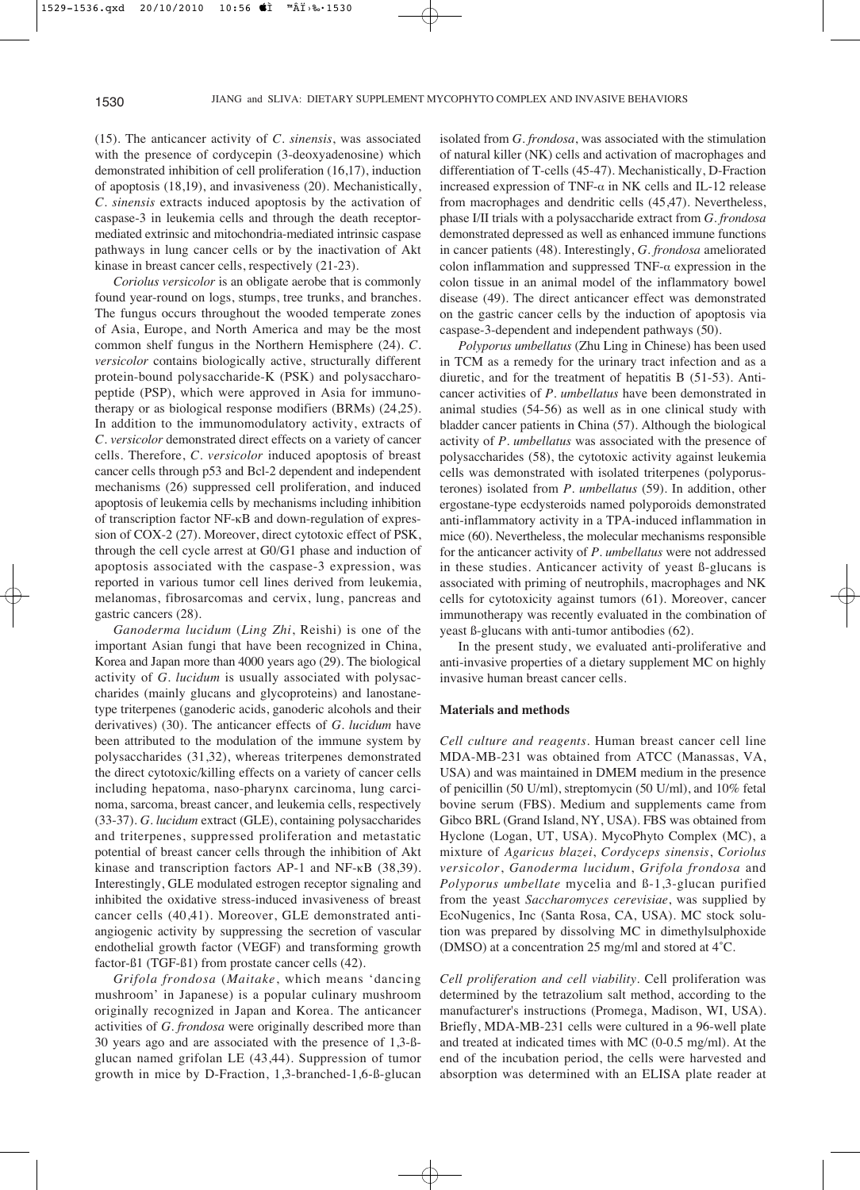(15). The anticancer activity of *C. sinensis*, was associated with the presence of cordycepin (3-deoxyadenosine) which demonstrated inhibition of cell proliferation (16,17), induction of apoptosis (18,19), and invasiveness (20). Mechanistically, *C. sinensis* extracts induced apoptosis by the activation of caspase-3 in leukemia cells and through the death receptormediated extrinsic and mitochondria-mediated intrinsic caspase pathways in lung cancer cells or by the inactivation of Akt kinase in breast cancer cells, respectively (21-23).

*Coriolus versicolor* is an obligate aerobe that is commonly found year-round on logs, stumps, tree trunks, and branches. The fungus occurs throughout the wooded temperate zones of Asia, Europe, and North America and may be the most common shelf fungus in the Northern Hemisphere (24). *C. versicolor* contains biologically active, structurally different protein-bound polysaccharide-K (PSK) and polysaccharopeptide (PSP), which were approved in Asia for immunotherapy or as biological response modifiers (BRMs) (24,25). In addition to the immunomodulatory activity, extracts of *C. versicolor* demonstrated direct effects on a variety of cancer cells. Therefore, *C. versicolor* induced apoptosis of breast cancer cells through p53 and Bcl-2 dependent and independent mechanisms (26) suppressed cell proliferation, and induced apoptosis of leukemia cells by mechanisms including inhibition of transcription factor NF-κB and down-regulation of expression of COX-2 (27). Moreover, direct cytotoxic effect of PSK, through the cell cycle arrest at G0/G1 phase and induction of apoptosis associated with the caspase-3 expression, was reported in various tumor cell lines derived from leukemia, melanomas, fibrosarcomas and cervix, lung, pancreas and gastric cancers (28).

*Ganoderma lucidum* (*Ling Zhi*, Reishi) is one of the important Asian fungi that have been recognized in China, Korea and Japan more than 4000 years ago (29). The biological activity of *G. lucidum* is usually associated with polysaccharides (mainly glucans and glycoproteins) and lanostanetype triterpenes (ganoderic acids, ganoderic alcohols and their derivatives) (30). The anticancer effects of *G. lucidum* have been attributed to the modulation of the immune system by polysaccharides (31,32), whereas triterpenes demonstrated the direct cytotoxic/killing effects on a variety of cancer cells including hepatoma, naso-pharynx carcinoma, lung carcinoma, sarcoma, breast cancer, and leukemia cells, respectively (33-37). *G. lucidum* extract (GLE), containing polysaccharides and triterpenes, suppressed proliferation and metastatic potential of breast cancer cells through the inhibition of Akt kinase and transcription factors AP-1 and NF-κB (38,39). Interestingly, GLE modulated estrogen receptor signaling and inhibited the oxidative stress-induced invasiveness of breast cancer cells (40,41). Moreover, GLE demonstrated antiangiogenic activity by suppressing the secretion of vascular endothelial growth factor (VEGF) and transforming growth factor-ß1 (TGF-ß1) from prostate cancer cells (42).

*Grifola frondosa* (*Maitake*, which means 'dancing mushroom' in Japanese) is a popular culinary mushroom originally recognized in Japan and Korea. The anticancer activities of *G. frondosa* were originally described more than 30 years ago and are associated with the presence of 1,3-ßglucan named grifolan LE (43,44). Suppression of tumor growth in mice by D-Fraction, 1,3-branched-1,6-ß-glucan

isolated from *G. frondosa*, was associated with the stimulation of natural killer (NK) cells and activation of macrophages and differentiation of T-cells (45-47). Mechanistically, D-Fraction increased expression of TNF- $\alpha$  in NK cells and IL-12 release from macrophages and dendritic cells (45,47). Nevertheless, phase I/II trials with a polysaccharide extract from *G. frondosa* demonstrated depressed as well as enhanced immune functions in cancer patients (48). Interestingly, *G. frondosa* ameliorated colon inflammation and suppressed TNF- $\alpha$  expression in the colon tissue in an animal model of the inflammatory bowel disease (49). The direct anticancer effect was demonstrated on the gastric cancer cells by the induction of apoptosis via caspase-3-dependent and independent pathways (50).

*Polyporus umbellatus* (Zhu Ling in Chinese) has been used in TCM as a remedy for the urinary tract infection and as a diuretic, and for the treatment of hepatitis B (51-53). Anticancer activities of *P. umbellatus* have been demonstrated in animal studies (54-56) as well as in one clinical study with bladder cancer patients in China (57). Although the biological activity of *P. umbellatus* was associated with the presence of polysaccharides (58), the cytotoxic activity against leukemia cells was demonstrated with isolated triterpenes (polyporusterones) isolated from *P. umbellatus* (59). In addition, other ergostane-type ecdysteroids named polyporoids demonstrated anti-inflammatory activity in a TPA-induced inflammation in mice (60). Nevertheless, the molecular mechanisms responsible for the anticancer activity of *P. umbellatus* were not addressed in these studies. Anticancer activity of yeast ß-glucans is associated with priming of neutrophils, macrophages and NK cells for cytotoxicity against tumors (61). Moreover, cancer immunotherapy was recently evaluated in the combination of yeast ß-glucans with anti-tumor antibodies (62).

In the present study, we evaluated anti-proliferative and anti-invasive properties of a dietary supplement MC on highly invasive human breast cancer cells.

### **Materials and methods**

*Cell culture and reagents*. Human breast cancer cell line MDA-MB-231 was obtained from ATCC (Manassas, VA, USA) and was maintained in DMEM medium in the presence of penicillin (50 U/ml), streptomycin (50 U/ml), and 10% fetal bovine serum (FBS). Medium and supplements came from Gibco BRL (Grand Island, NY, USA). FBS was obtained from Hyclone (Logan, UT, USA). MycoPhyto Complex (MC), a mixture of *Agaricus blazei*, *Cordyceps sinensis*, *Coriolus versicolor*, *Ganoderma lucidum*, *Grifola frondosa* and *Polyporus umbellate* mycelia and ß-1,3-glucan purified from the yeast *Saccharomyces cerevisiae*, was supplied by EcoNugenics, Inc (Santa Rosa, CA, USA). MC stock solution was prepared by dissolving MC in dimethylsulphoxide (DMSO) at a concentration 25 mg/ml and stored at 4˚C.

*Cell proliferation and cell viability*. Cell proliferation was determined by the tetrazolium salt method, according to the manufacturer's instructions (Promega, Madison, WI, USA). Briefly, MDA-MB-231 cells were cultured in a 96-well plate and treated at indicated times with MC (0-0.5 mg/ml). At the end of the incubation period, the cells were harvested and absorption was determined with an ELISA plate reader at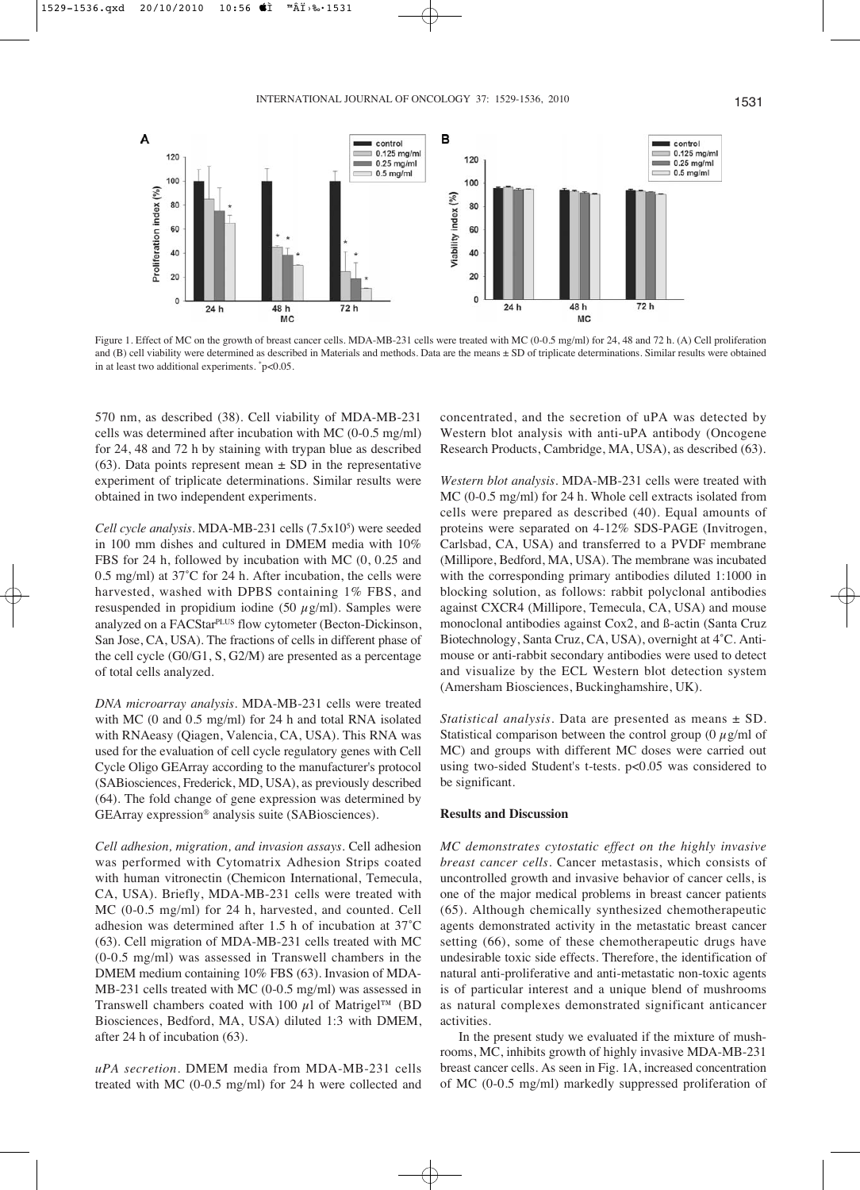control

 $\equiv 0.125$  mg/ml

 $0.25$  mg/ml

 $0.5$  ma/ml

B

120

100



Figure 1. Effect of MC on the growth of breast cancer cells. MDA-MB-231 cells were treated with MC (0-0.5 mg/ml) for 24, 48 and 72 h. (A) Cell proliferation and (B) cell viability were determined as described in Materials and methods. Data are the means  $\pm$  SD of triplicate determinations. Similar results were obtained in at least two additional experiments. \*p<0.05.

570 nm, as described (38). Cell viability of MDA-MB-231 cells was determined after incubation with MC (0-0.5 mg/ml) for 24, 48 and 72 h by staining with trypan blue as described (63). Data points represent mean  $\pm$  SD in the representative experiment of triplicate determinations. Similar results were obtained in two independent experiments.

A

120

100

Cell cycle analysis. MDA-MB-231 cells (7.5x10<sup>5</sup>) were seeded in 100 mm dishes and cultured in DMEM media with 10% FBS for 24 h, followed by incubation with MC (0, 0.25 and 0.5 mg/ml) at 37˚C for 24 h. After incubation, the cells were harvested, washed with DPBS containing 1% FBS, and resuspended in propidium iodine (50  $\mu$ g/ml). Samples were analyzed on a FACStar<sup>PLUS</sup> flow cytometer (Becton-Dickinson, San Jose, CA, USA). The fractions of cells in different phase of the cell cycle (G0/G1, S, G2/M) are presented as a percentage of total cells analyzed.

*DNA microarray analysis*. MDA-MB-231 cells were treated with MC (0 and 0.5 mg/ml) for 24 h and total RNA isolated with RNAeasy (Qiagen, Valencia, CA, USA). This RNA was used for the evaluation of cell cycle regulatory genes with Cell Cycle Oligo GEArray according to the manufacturer's protocol (SABiosciences, Frederick, MD, USA), as previously described (64). The fold change of gene expression was determined by GEArray expression® analysis suite (SABiosciences).

*Cell adhesion, migration, and invasion assays*. Cell adhesion was performed with Cytomatrix Adhesion Strips coated with human vitronectin (Chemicon International, Temecula, CA, USA). Briefly, MDA-MB-231 cells were treated with MC (0-0.5 mg/ml) for 24 h, harvested, and counted. Cell adhesion was determined after 1.5 h of incubation at 37˚C (63). Cell migration of MDA-MB-231 cells treated with MC (0-0.5 mg/ml) was assessed in Transwell chambers in the DMEM medium containing 10% FBS (63). Invasion of MDA-MB-231 cells treated with MC (0-0.5 mg/ml) was assessed in Transwell chambers coated with 100  $\mu$ l of Matrigel<sup>TM</sup> (BD Biosciences, Bedford, MA, USA) diluted 1:3 with DMEM, after 24 h of incubation (63).

*uPA secretion*. DMEM media from MDA-MB-231 cells treated with MC (0-0.5 mg/ml) for 24 h were collected and concentrated, and the secretion of uPA was detected by Western blot analysis with anti-uPA antibody (Oncogene Research Products, Cambridge, MA, USA), as described (63).

*Western blot analysis*. MDA-MB-231 cells were treated with MC (0-0.5 mg/ml) for 24 h. Whole cell extracts isolated from cells were prepared as described (40). Equal amounts of proteins were separated on 4-12% SDS-PAGE (Invitrogen, Carlsbad, CA, USA) and transferred to a PVDF membrane (Millipore, Bedford, MA, USA). The membrane was incubated with the corresponding primary antibodies diluted 1:1000 in blocking solution, as follows: rabbit polyclonal antibodies against CXCR4 (Millipore, Temecula, CA, USA) and mouse monoclonal antibodies against Cox2, and ß-actin (Santa Cruz Biotechnology, Santa Cruz, CA, USA), overnight at 4˚C. Antimouse or anti-rabbit secondary antibodies were used to detect and visualize by the ECL Western blot detection system (Amersham Biosciences, Buckinghamshire, UK).

*Statistical analysis*. Data are presented as means ± SD. Statistical comparison between the control group (0  $\mu$ g/ml of MC) and groups with different MC doses were carried out using two-sided Student's t-tests. p<0.05 was considered to be significant.

### **Results and Discussion**

*MC demonstrates cytostatic effect on the highly invasive breast cancer cells*. Cancer metastasis, which consists of uncontrolled growth and invasive behavior of cancer cells, is one of the major medical problems in breast cancer patients (65). Although chemically synthesized chemotherapeutic agents demonstrated activity in the metastatic breast cancer setting (66), some of these chemotherapeutic drugs have undesirable toxic side effects. Therefore, the identification of natural anti-proliferative and anti-metastatic non-toxic agents is of particular interest and a unique blend of mushrooms as natural complexes demonstrated significant anticancer activities.

In the present study we evaluated if the mixture of mushrooms, MC, inhibits growth of highly invasive MDA-MB-231 breast cancer cells. As seen in Fig. 1A, increased concentration of MC (0-0.5 mg/ml) markedly suppressed proliferation of

control

 $\equiv 0.125$  mg/ml

 $0.25$  ma/ml  $0.5 \text{ }\mathrm{ma/m}$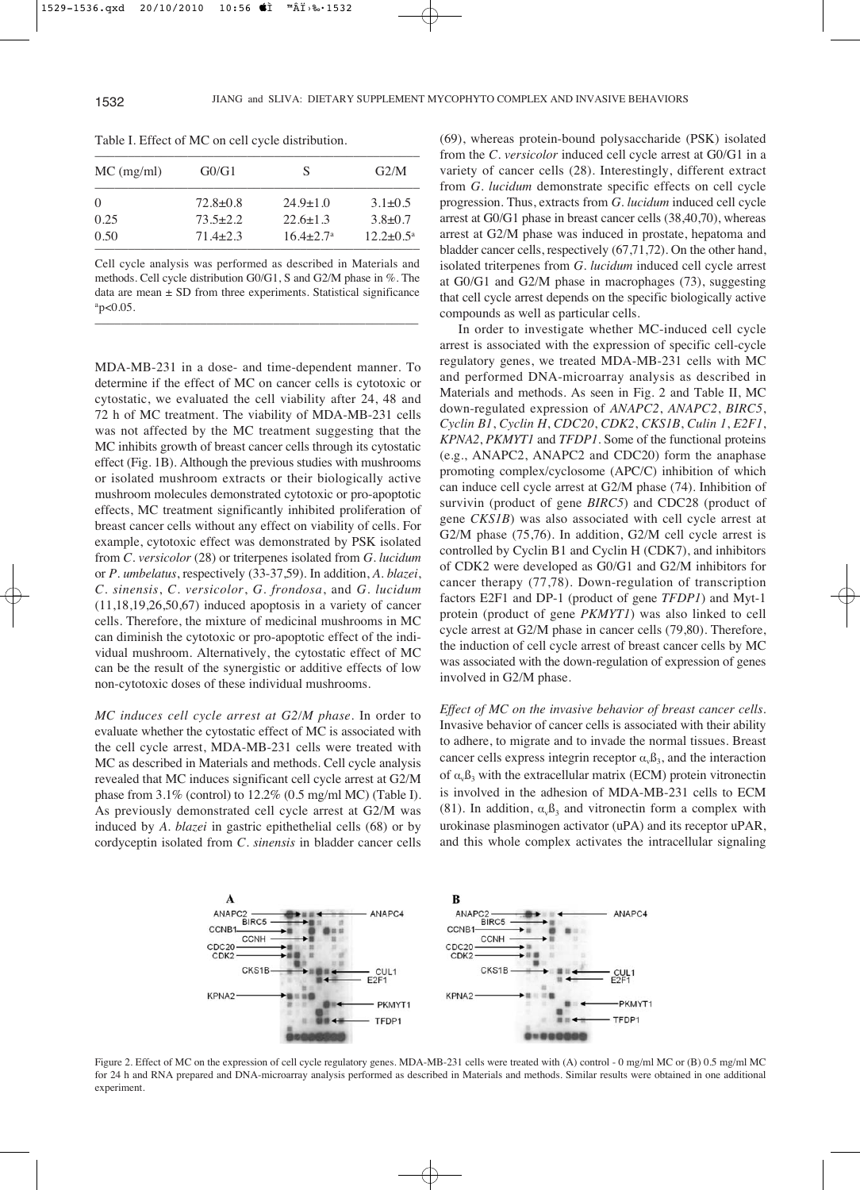| $MC$ (mg/ml) | G0/G1          | S                    | G2/M                      |
|--------------|----------------|----------------------|---------------------------|
|              | $72.8 \pm 0.8$ | $24.9 \pm 1.0$       | $3.1 \pm 0.5$             |
| 0.25         | $73.5 + 2.2$   | $22.6 + 1.3$         | $3.8 \pm 0.7$             |
| 0.50         | $71.4 + 2.3$   | $16.4 + 2.7^{\circ}$ | $12.2 \pm 0.5^{\text{a}}$ |

Table I. Effect of MC on cell cycle distribution.

Cell cycle analysis was performed as described in Materials and methods. Cell cycle distribution G0/G1, S and G2/M phase in %. The data are mean ± SD from three experiments. Statistical significance  $a$ p<0.05.

–––––––––––––––––––––––––––––––––––––––––––––––––

MDA-MB-231 in a dose- and time-dependent manner. To determine if the effect of MC on cancer cells is cytotoxic or cytostatic, we evaluated the cell viability after 24, 48 and 72 h of MC treatment. The viability of MDA-MB-231 cells was not affected by the MC treatment suggesting that the MC inhibits growth of breast cancer cells through its cytostatic effect (Fig. 1B). Although the previous studies with mushrooms or isolated mushroom extracts or their biologically active mushroom molecules demonstrated cytotoxic or pro-apoptotic effects, MC treatment significantly inhibited proliferation of breast cancer cells without any effect on viability of cells. For example, cytotoxic effect was demonstrated by PSK isolated from *C. versicolor* (28) or triterpenes isolated from *G. lucidum* or *P. umbelatus*, respectively (33-37,59). In addition, *A. blazei*, *C. sinensis*, *C. versicolor*, *G. frondosa*, and *G. lucidum*  $(11,18,19,26,50,67)$  induced apoptosis in a variety of cancer cells. Therefore, the mixture of medicinal mushrooms in MC can diminish the cytotoxic or pro-apoptotic effect of the individual mushroom. Alternatively, the cytostatic effect of MC can be the result of the synergistic or additive effects of low non-cytotoxic doses of these individual mushrooms.

*MC induces cell cycle arrest at G2/M phase*. In order to evaluate whether the cytostatic effect of MC is associated with the cell cycle arrest, MDA-MB-231 cells were treated with MC as described in Materials and methods. Cell cycle analysis revealed that MC induces significant cell cycle arrest at G2/M phase from 3.1% (control) to 12.2% (0.5 mg/ml MC) (Table I). As previously demonstrated cell cycle arrest at G2/M was induced by *A. blazei* in gastric epithethelial cells (68) or by cordyceptin isolated from *C. sinensis* in bladder cancer cells

(69), whereas protein-bound polysaccharide (PSK) isolated from the *C. versicolor* induced cell cycle arrest at G0/G1 in a variety of cancer cells (28). Interestingly, different extract from *G. lucidum* demonstrate specific effects on cell cycle progression. Thus, extracts from *G. lucidum* induced cell cycle arrest at G0/G1 phase in breast cancer cells (38,40,70), whereas arrest at G2/M phase was induced in prostate, hepatoma and bladder cancer cells, respectively (67,71,72). On the other hand, isolated triterpenes from *G. lucidum* induced cell cycle arrest at G0/G1 and G2/M phase in macrophages (73), suggesting that cell cycle arrest depends on the specific biologically active compounds as well as particular cells.

In order to investigate whether MC-induced cell cycle arrest is associated with the expression of specific cell-cycle regulatory genes, we treated MDA-MB-231 cells with MC and performed DNA-microarray analysis as described in Materials and methods. As seen in Fig. 2 and Table II, MC down-regulated expression of *ANAPC2*, *ANAPC2*, *BIRC5*, *Cyclin B1*, *Cyclin H*, *CDC20*, *CDK2*, *CKS1B*, *Culin 1*, *E2F1*, *KPNA2*, *PKMYT1* and *TFDP1*. Some of the functional proteins (e.g., ANAPC2, ANAPC2 and CDC20) form the anaphase promoting complex/cyclosome (APC/C) inhibition of which can induce cell cycle arrest at G2/M phase (74). Inhibition of survivin (product of gene *BIRC5*) and CDC28 (product of gene *CKS1B*) was also associated with cell cycle arrest at G2/M phase (75,76). In addition, G2/M cell cycle arrest is controlled by Cyclin B1 and Cyclin H (CDK7), and inhibitors of CDK2 were developed as G0/G1 and G2/M inhibitors for cancer therapy (77,78). Down-regulation of transcription factors E2F1 and DP-1 (product of gene *TFDP1*) and Myt-1 protein (product of gene *PKMYT1*) was also linked to cell cycle arrest at G2/M phase in cancer cells (79,80). Therefore, the induction of cell cycle arrest of breast cancer cells by MC was associated with the down-regulation of expression of genes involved in G2/M phase.

*Effect of MC on the invasive behavior of breast cancer cells*. Invasive behavior of cancer cells is associated with their ability to adhere, to migrate and to invade the normal tissues. Breast cancer cells express integrin receptor  $\alpha_{\nu} \beta_3$ , and the interaction of  $\alpha_v$  $\beta_3$  with the extracellular matrix (ECM) protein vitronectin is involved in the adhesion of MDA-MB-231 cells to ECM (81). In addition,  $\alpha_v \beta_3$  and vitronectin form a complex with urokinase plasminogen activator (uPA) and its receptor uPAR, and this whole complex activates the intracellular signaling



Figure 2. Effect of MC on the expression of cell cycle regulatory genes. MDA-MB-231 cells were treated with (A) control - 0 mg/ml MC or (B) 0.5 mg/ml MC for 24 h and RNA prepared and DNA-microarray analysis performed as described in Materials and methods. Similar results were obtained in one additional experiment.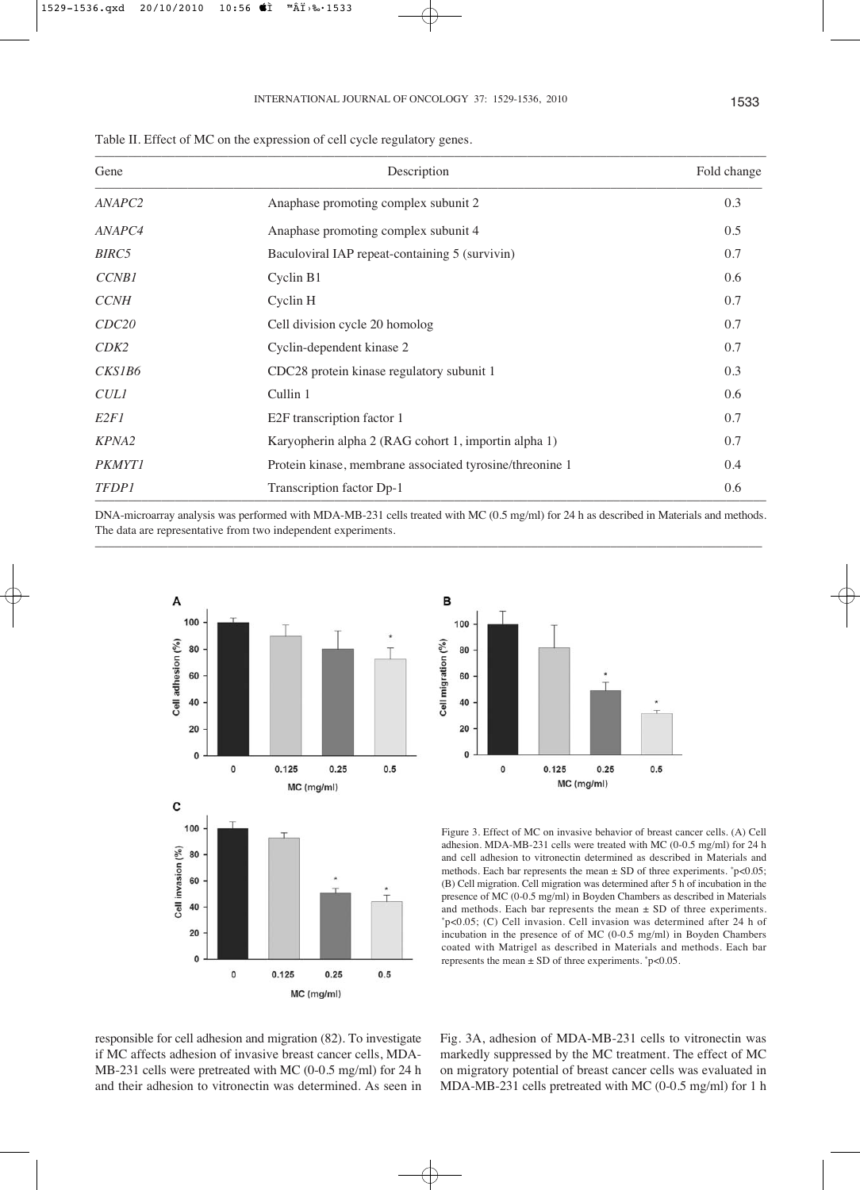| Gene               | Description                                              | Fold change |
|--------------------|----------------------------------------------------------|-------------|
| ANAPC <sub>2</sub> | Anaphase promoting complex subunit 2                     | 0.3         |
| ANAPC4             | Anaphase promoting complex subunit 4                     | 0.5         |
| BIRC <sub>5</sub>  | Baculoviral IAP repeat-containing 5 (survivin)           | 0.7         |
| <b>CCNB1</b>       | Cyclin B1                                                | 0.6         |
| <b>CCNH</b>        | Cyclin H                                                 | 0.7         |
| CDC20              | Cell division cycle 20 homolog                           | 0.7         |
| CDK2               | Cyclin-dependent kinase 2                                | 0.7         |
| CKS1B6             | CDC28 protein kinase regulatory subunit 1                | 0.3         |
| <b>CULI</b>        | Cullin 1                                                 | 0.6         |
| E <sub>2F1</sub>   | E2F transcription factor 1                               | 0.7         |
| KPNA2              | Karyopherin alpha 2 (RAG cohort 1, importin alpha 1)     | 0.7         |
| <b>PKMYT1</b>      | Protein kinase, membrane associated tyrosine/threonine 1 | 0.4         |
| <b>TFDP1</b>       | Transcription factor Dp-1                                | 0.6         |

Table II. Effect of MC on the expression of cell cycle regulatory genes.

DNA-microarray analysis was performed with MDA-MB-231 cells treated with MC (0.5 mg/ml) for 24 h as described in Materials and methods. The data are representative from two independent experiments. –––––––––––––––––––––––––––––––––––––––––––––––––––––––––––––––––––––––––––––––––––––––––––––––––––––





Figure 3. Effect of MC on invasive behavior of breast cancer cells. (A) Cell adhesion. MDA-MB-231 cells were treated with MC (0-0.5 mg/ml) for 24 h and cell adhesion to vitronectin determined as described in Materials and methods. Each bar represents the mean  $\pm$  SD of three experiments.  $\degree$  p<0.05; (B) Cell migration. Cell migration was determined after 5 h of incubation in the presence of MC (0-0.5 mg/ml) in Boyden Chambers as described in Materials and methods. Each bar represents the mean ± SD of three experiments. \*p<0.05; (C) Cell invasion. Cell invasion was determined after 24 h of incubation in the presence of of MC (0-0.5 mg/ml) in Boyden Chambers coated with Matrigel as described in Materials and methods. Each bar represents the mean  $\pm$  SD of three experiments.  $\degree$ p<0.05.

responsible for cell adhesion and migration (82). To investigate if MC affects adhesion of invasive breast cancer cells, MDA-MB-231 cells were pretreated with MC (0-0.5 mg/ml) for 24 h and their adhesion to vitronectin was determined. As seen in Fig. 3A, adhesion of MDA-MB-231 cells to vitronectin was markedly suppressed by the MC treatment. The effect of MC on migratory potential of breast cancer cells was evaluated in MDA-MB-231 cells pretreated with MC (0-0.5 mg/ml) for 1 h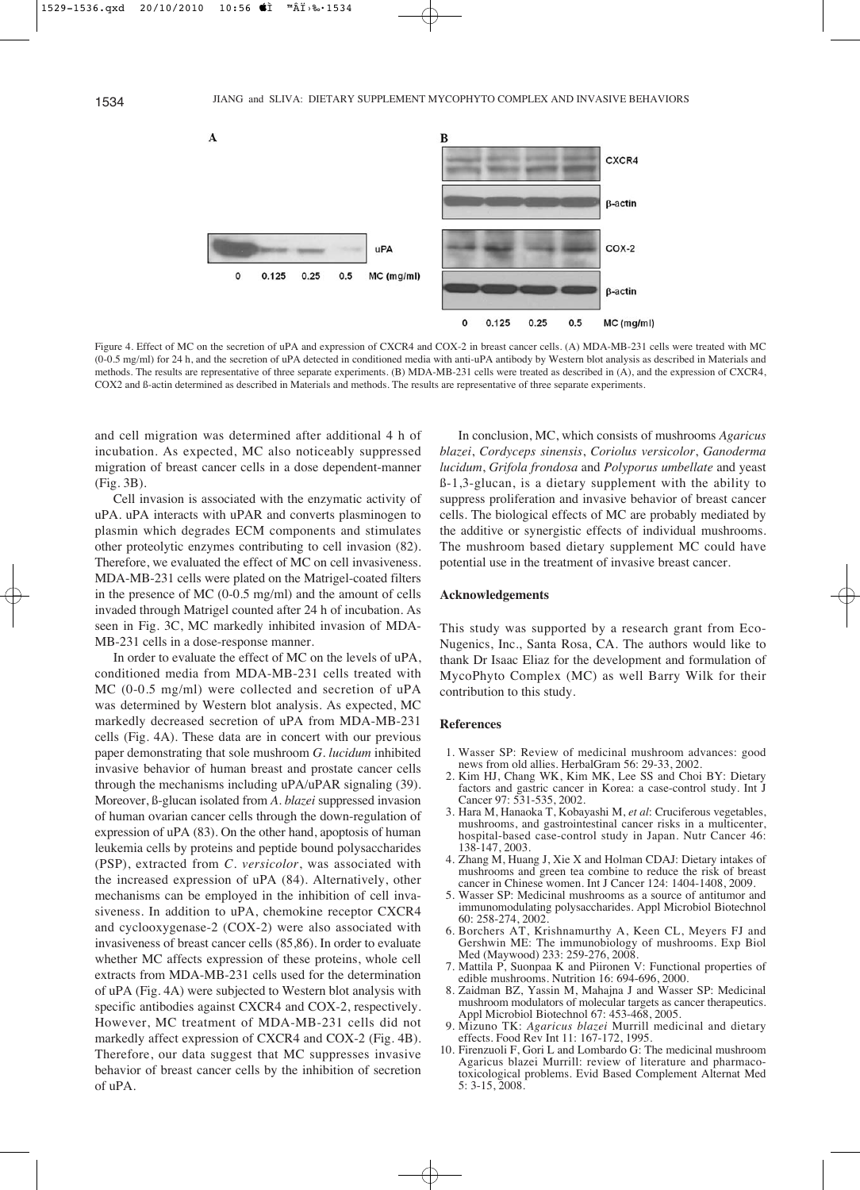

Figure 4. Effect of MC on the secretion of uPA and expression of CXCR4 and COX-2 in breast cancer cells. (A) MDA-MB-231 cells were treated with MC (0-0.5 mg/ml) for 24 h, and the secretion of uPA detected in conditioned media with anti-uPA antibody by Western blot analysis as described in Materials and methods. The results are representative of three separate experiments. (B) MDA-MB-231 cells were treated as described in (A), and the expression of CXCR4, COX2 and ß-actin determined as described in Materials and methods. The results are representative of three separate experiments.

and cell migration was determined after additional 4 h of incubation. As expected, MC also noticeably suppressed migration of breast cancer cells in a dose dependent-manner (Fig. 3B).

Cell invasion is associated with the enzymatic activity of uPA. uPA interacts with uPAR and converts plasminogen to plasmin which degrades ECM components and stimulates other proteolytic enzymes contributing to cell invasion (82). Therefore, we evaluated the effect of MC on cell invasiveness. MDA-MB-231 cells were plated on the Matrigel-coated filters in the presence of MC (0-0.5 mg/ml) and the amount of cells invaded through Matrigel counted after 24 h of incubation. As seen in Fig. 3C, MC markedly inhibited invasion of MDA-MB-231 cells in a dose-response manner.

In order to evaluate the effect of MC on the levels of uPA, conditioned media from MDA-MB-231 cells treated with MC (0-0.5 mg/ml) were collected and secretion of uPA was determined by Western blot analysis. As expected, MC markedly decreased secretion of uPA from MDA-MB-231 cells (Fig. 4A). These data are in concert with our previous paper demonstrating that sole mushroom *G. lucidum* inhibited invasive behavior of human breast and prostate cancer cells through the mechanisms including uPA/uPAR signaling (39). Moreover, ß-glucan isolated from *A. blazei* suppressed invasion of human ovarian cancer cells through the down-regulation of expression of uPA (83). On the other hand, apoptosis of human leukemia cells by proteins and peptide bound polysaccharides (PSP), extracted from *C. versicolor*, was associated with the increased expression of uPA (84). Alternatively, other mechanisms can be employed in the inhibition of cell invasiveness. In addition to uPA, chemokine receptor CXCR4 and cyclooxygenase-2 (COX-2) were also associated with invasiveness of breast cancer cells (85,86). In order to evaluate whether MC affects expression of these proteins, whole cell extracts from MDA-MB-231 cells used for the determination of uPA (Fig. 4A) were subjected to Western blot analysis with specific antibodies against CXCR4 and COX-2, respectively. However, MC treatment of MDA-MB-231 cells did not markedly affect expression of CXCR4 and COX-2 (Fig. 4B). Therefore, our data suggest that MC suppresses invasive behavior of breast cancer cells by the inhibition of secretion of uPA.

In conclusion, MC, which consists of mushrooms *Agaricus blazei*, *Cordyceps sinensis*, *Coriolus versicolor*, *Ganoderma lucidum*, *Grifola frondosa* and *Polyporus umbellate* and yeast ß-1,3-glucan, is a dietary supplement with the ability to suppress proliferation and invasive behavior of breast cancer cells. The biological effects of MC are probably mediated by the additive or synergistic effects of individual mushrooms. The mushroom based dietary supplement MC could have potential use in the treatment of invasive breast cancer.

#### **Acknowledgements**

This study was supported by a research grant from Eco-Nugenics, Inc., Santa Rosa, CA. The authors would like to thank Dr Isaac Eliaz for the development and formulation of MycoPhyto Complex (MC) as well Barry Wilk for their contribution to this study.

#### **References**

- 1. Wasser SP: Review of medicinal mushroom advances: good news from old allies. HerbalGram 56: 29-33, 2002.
- 2. Kim HJ, Chang WK, Kim MK, Lee SS and Choi BY: Dietary factors and gastric cancer in Korea: a case-control study. Int J Cancer 97: 531-535, 2002.
- 3. Hara M, Hanaoka T, Kobayashi M, *et al*: Cruciferous vegetables, mushrooms, and gastrointestinal cancer risks in a multicenter, hospital-based case-control study in Japan. Nutr Cancer 46: 138-147, 2003.
- 4. Zhang M, Huang J, Xie X and Holman CDAJ: Dietary intakes of mushrooms and green tea combine to reduce the risk of breast cancer in Chinese women. Int J Cancer 124: 1404-1408, 2009.
- 5. Wasser SP: Medicinal mushrooms as a source of antitumor and immunomodulating polysaccharides. Appl Microbiol Biotechnol 60: 258-274, 2002.
- 6. Borchers AT, Krishnamurthy A, Keen CL, Meyers FJ and Gershwin ME: The immunobiology of mushrooms. Exp Biol Med (Maywood) 233: 259-276, 2008.
- 7. Mattila P, Suonpaa K and Piironen V: Functional properties of edible mushrooms. Nutrition 16: 694-696, 2000.
- 8. Zaidman BZ, Yassin M, Mahajna J and Wasser SP: Medicinal mushroom modulators of molecular targets as cancer therapeutics. Appl Microbiol Biotechnol 67: 453-468, 2005.
- 9. Mizuno TK: *Agaricus blazei* Murrill medicinal and dietary effects. Food Rev Int 11: 167-172, 1995.
- 10. Firenzuoli F, Gori L and Lombardo G: The medicinal mushroom Agaricus blazei Murrill: review of literature and pharmacotoxicological problems. Evid Based Complement Alternat Med 5: 3-15, 2008.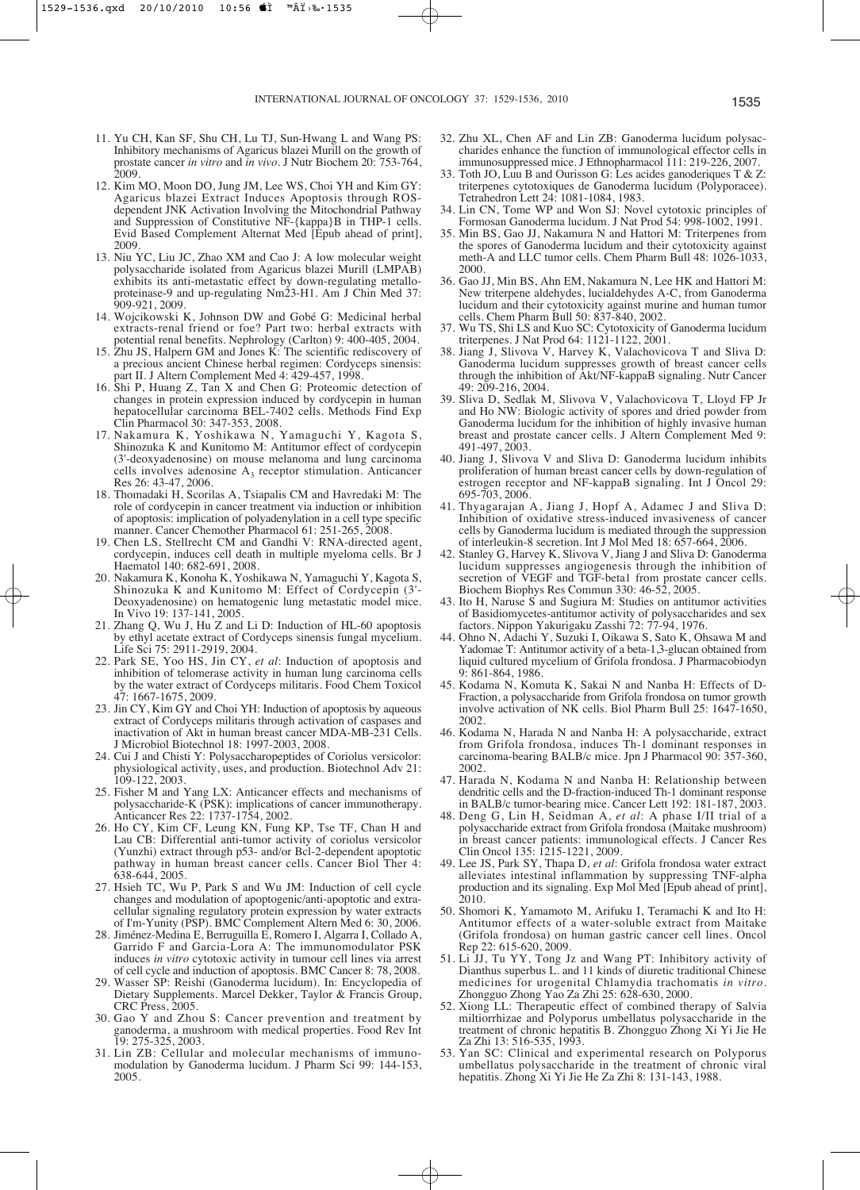- 11. Yu CH, Kan SF, Shu CH, Lu TJ, Sun-Hwang L and Wang PS: Inhibitory mechanisms of Agaricus blazei Murill on the growth of prostate cancer *in vitro* and *in vivo*. J Nutr Biochem 20: 753-764, 2009.
- 12. Kim MO, Moon DO, Jung JM, Lee WS, Choi YH and Kim GY: Agaricus blazei Extract Induces Apoptosis through ROSdependent JNK Activation Involving the Mitochondrial Pathway and Suppression of Constitutive NF-{kappa}B in THP-1 cells. Evid Based Complement Alternat Med [Epub ahead of print], 2009.
- 13. Niu YC, Liu JC, Zhao XM and Cao J: A low molecular weight polysaccharide isolated from Agaricus blazei Murill (LMPAB) exhibits its anti-metastatic effect by down-regulating metalloproteinase-9 and up-regulating Nm23-H1. Am J Chin Med 37: 909-921, 2009.
- 14. Wojcikowski K, Johnson DW and Gobé G: Medicinal herbal extracts-renal friend or foe? Part two: herbal extracts with potential renal benefits. Nephrology (Carlton) 9: 400-405, 2004.
- 15. Zhu JS, Halpern GM and Jones K: The scientific rediscovery of a precious ancient Chinese herbal regimen: Cordyceps sinensis: part II. J Altern Complement Med 4: 429-457, 1998.
- 16. Shi P, Huang Z, Tan X and Chen G: Proteomic detection of changes in protein expression induced by cordycepin in human hepatocellular carcinoma BEL-7402 cells. Methods Find Exp Clin Pharmacol 30: 347-353, 2008.
- 17. Nakamura K, Yoshikawa N, Yamaguchi Y, Kagota S, Shinozuka K and Kunitomo M: Antitumor effect of cordycepin (3'-deoxyadenosine) on mouse melanoma and lung carcinoma cells involves adenosine  $A_3$  receptor stimulation. Anticancer Res 26: 43-47, 2006.
- 18. Thomadaki H, Scorilas A, Tsiapalis CM and Havredaki M: The role of cordycepin in cancer treatment via induction or inhibition of apoptosis: implication of polyadenylation in a cell type specific manner. Cancer Chemother Pharmacol 61: 251-265, 2008.
- 19. Chen LS, Stellrecht CM and Gandhi V: RNA-directed agent, cordycepin, induces cell death in multiple myeloma cells. Br J Haematol 140: 682-691, 2008.
- 20. Nakamura K, Konoha K, Yoshikawa N, Yamaguchi Y, Kagota S, Shinozuka K and Kunitomo M: Effect of Cordycepin (3'- Deoxyadenosine) on hematogenic lung metastatic model mice. In Vivo 19: 137-141, 2005.
- 21. Zhang Q, Wu J, Hu Z and Li D: Induction of HL-60 apoptosis by ethyl acetate extract of Cordyceps sinensis fungal mycelium. Life Sci 75: 2911-2919, 2004.
- 22. Park SE, Yoo HS, Jin CY, *et al*: Induction of apoptosis and inhibition of telomerase activity in human lung carcinoma cells by the water extract of Cordyceps militaris. Food Chem Toxicol 47: 1667-1675, 2009.
- 23. Jin CY, Kim GY and Choi YH: Induction of apoptosis by aqueous extract of Cordyceps militaris through activation of caspases and inactivation of Akt in human breast cancer MDA-MB-231 Cells. J Microbiol Biotechnol 18: 1997-2003, 2008.
- 24. Cui J and Chisti Y: Polysaccharopeptides of Coriolus versicolor: physiological activity, uses, and production. Biotechnol Adv 21: 109-122, 2003.
- 25. Fisher M and Yang LX: Anticancer effects and mechanisms of polysaccharide-K (PSK): implications of cancer immunotherapy. Anticancer Res 22: 1737-1754, 2002.
- 26. Ho CY, Kim CF, Leung KN, Fung KP, Tse TF, Chan H and Lau CB: Differential anti-tumor activity of coriolus versicolor (Yunzhi) extract through p53- and/or Bcl-2-dependent apoptotic pathway in human breast cancer cells. Cancer Biol Ther 4: 638-644, 2005.
- 27. Hsieh TC, Wu P, Park S and Wu JM: Induction of cell cycle changes and modulation of apoptogenic/anti-apoptotic and extracellular signaling regulatory protein expression by water extracts of I'm-Yunity (PSP). BMC Complement Altern Med 6: 30, 2006.
- 28. Jiménez-Medina E, Berruguilla E, Romero I, Algarra I, Collado A, Garrido F and Garcia-Lora A: The immunomodulator PSK induces *in vitro* cytotoxic activity in tumour cell lines via arrest of cell cycle and induction of apoptosis. BMC Cancer 8: 78, 2008.
- 29. Wasser SP: Reishi (Ganoderma lucidum). In: Encyclopedia of Dietary Supplements. Marcel Dekker, Taylor & Francis Group, CRC Press, 2005.
- 30. Gao Y and Zhou S: Cancer prevention and treatment by ganoderma, a mushroom with medical properties. Food Rev Int 19: 275-325, 2003.
- 31. Lin ZB: Cellular and molecular mechanisms of immunomodulation by Ganoderma lucidum. J Pharm Sci 99: 144-153, 2005.
- 32. Zhu XL, Chen AF and Lin ZB: Ganoderma lucidum polysaccharides enhance the function of immunological effector cells in immunosuppressed mice. J Ethnopharmacol 111: 219-226, 2007.
- 33. Toth JO, Luu B and Ourisson G: Les acides ganoderiques T & Z: triterpenes cytotoxiques de Ganoderma lucidum (Polyporacee). Tetrahedron Lett 24: 1081-1084, 1983.
- 34. Lin CN, Tome WP and Won SJ: Novel cytotoxic principles of Formosan Ganoderma lucidum. J Nat Prod 54: 998-1002, 1991.
- 35. Min BS, Gao JJ, Nakamura N and Hattori M: Triterpenes from the spores of Ganoderma lucidum and their cytotoxicity against meth-A and LLC tumor cells. Chem Pharm Bull 48: 1026-1033, 2000.
- 36. Gao JJ, Min BS, Ahn EM, Nakamura N, Lee HK and Hattori M: New triterpene aldehydes, lucialdehydes A-C, from Ganoderma lucidum and their cytotoxicity against murine and human tumor cells. Chem Pharm Bull 50: 837-840, 2002.
- 37. Wu TS, Shi LS and Kuo SC: Cytotoxicity of Ganoderma lucidum triterpenes. J Nat Prod 64: 1121-1122, 2001.
- 38. Jiang J, Slivova V, Harvey K, Valachovicova T and Sliva D: Ganoderma lucidum suppresses growth of breast cancer cells through the inhibition of Akt/NF-kappaB signaling. Nutr Cancer 49: 209-216, 2004.
- 39. Sliva D, Sedlak M, Slivova V, Valachovicova T, Lloyd FP Jr and Ho NW: Biologic activity of spores and dried powder from Ganoderma lucidum for the inhibition of highly invasive human breast and prostate cancer cells. J Altern Complement Med 9: 491-497, 2003.
- 40. Jiang J, Slivova V and Sliva D: Ganoderma lucidum inhibits proliferation of human breast cancer cells by down-regulation of estrogen receptor and NF-kappaB signaling. Int J Oncol 29: 695-703, 2006.
- 41. Thyagarajan A, Jiang J, Hopf A, Adamec J and Sliva D: Inhibition of oxidative stress-induced invasiveness of cancer cells by Ganoderma lucidum is mediated through the suppression of interleukin-8 secretion. Int J Mol Med 18: 657-664, 2006.
- 42. Stanley G, Harvey K, Slivova V, Jiang J and Sliva D: Ganoderma lucidum suppresses angiogenesis through the inhibition of secretion of VEGF and TGF-beta1 from prostate cancer cells. Biochem Biophys Res Commun 330: 46-52, 2005.
- 43. Ito H, Naruse S and Sugiura M: Studies on antitumor activities of Basidiomycetes-antitumor activity of polysaccharides and sex factors. Nippon Yakurigaku Zasshi 72: 77-94, 1976.
- 44. Ohno N, Adachi Y, Suzuki I, Oikawa S, Sato K, Ohsawa M and Yadomae T: Antitumor activity of a beta-1,3-glucan obtained from liquid cultured mycelium of Grifola frondosa. J Pharmacobiodyn 9: 861-864, 1986.
- 45. Kodama N, Komuta K, Sakai N and Nanba H: Effects of D-Fraction, a polysaccharide from Grifola frondosa on tumor growth involve activation of NK cells. Biol Pharm Bull 25: 1647-1650, 2002.
- 46. Kodama N, Harada N and Nanba H: A polysaccharide, extract from Grifola frondosa, induces Th-1 dominant responses in carcinoma-bearing BALB/c mice. Jpn J Pharmacol 90: 357-360, 2002.
- 47. Harada N, Kodama N and Nanba H: Relationship between dendritic cells and the D-fraction-induced Th-1 dominant response in BALB/c tumor-bearing mice. Cancer Lett 192: 181-187, 2003.
- 48. Deng G, Lin H, Seidman A, *et al*: A phase I/II trial of a polysaccharide extract from Grifola frondosa (Maitake mushroom) in breast cancer patients: immunological effects. J Cancer Res Clin Oncol 135: 1215-1221, 2009.
- 49. Lee JS, Park SY, Thapa D, *et al*: Grifola frondosa water extract alleviates intestinal inflammation by suppressing TNF-alpha production and its signaling. Exp Mol Med [Epub ahead of print], 2010.
- 50. Shomori K, Yamamoto M, Arifuku I, Teramachi K and Ito H: Antitumor effects of a water-soluble extract from Maitake (Grifola frondosa) on human gastric cancer cell lines. Oncol Rep 22: 615-620, 2009.
- 51. Li JJ, Tu YY, Tong Jz and Wang PT: Inhibitory activity of Dianthus superbus L. and 11 kinds of diuretic traditional Chinese medicines for urogenital Chlamydia trachomatis *in vitro*. Zhongguo Zhong Yao Za Zhi 25: 628-630, 2000.
- 52. Xiong LL: Therapeutic effect of combined therapy of Salvia miltiorrhizae and Polyporus umbellatus polysaccharide in the treatment of chronic hepatitis B. Zhongguo Zhong Xi Yi Jie He Za Zhi 13: 516-535, 1993.
- 53. Yan SC: Clinical and experimental research on Polyporus umbellatus polysaccharide in the treatment of chronic viral hepatitis. Zhong Xi Yi Jie He Za Zhi 8: 131-143, 1988.